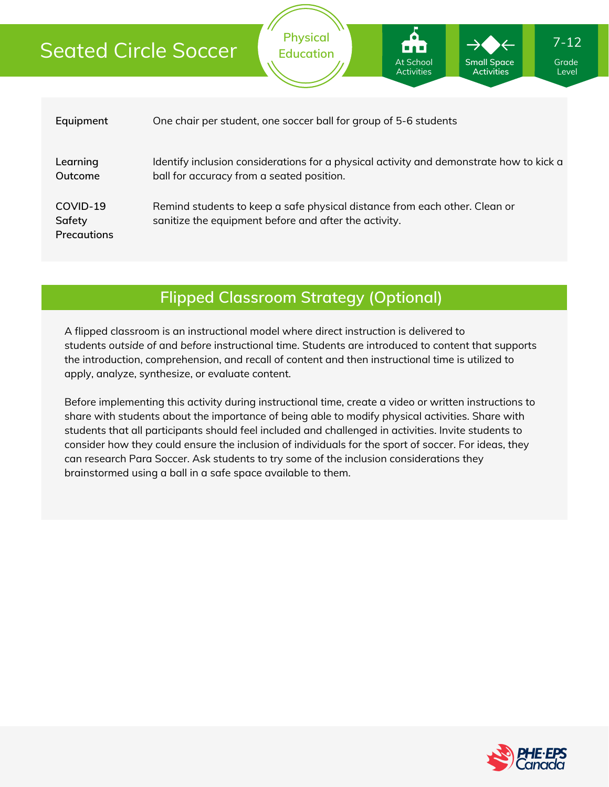# Seated Circle Soccer

| Equipment                                | One chair per student, one soccer ball for group of 5-6 students                                                                     |
|------------------------------------------|--------------------------------------------------------------------------------------------------------------------------------------|
| Learning<br>Outcome                      | Identify inclusion considerations for a physical activity and demonstrate how to kick a<br>ball for accuracy from a seated position. |
| COVID-19<br>Safety<br><b>Precautions</b> | Remind students to keep a safe physical distance from each other. Clean or<br>sanitize the equipment before and after the activity.  |

**Physical Education**

At School Activities **Small Space Activities**

**Flipped Classroom Strategy (Optional)**

A flipped classroom is an instructional model where direct instruction is delivered to students *outside of* and *before* instructional time. Students are introduced to content that supports the introduction, comprehension, and recall of content and then instructional time is utilized to apply, analyze, synthesize, or evaluate content.

Before implementing this activity during instructional time, create a video or written instructions to share with students about the importance of being able to modify physical activities. Share with students that all participants should feel included and challenged in activities. Invite students to consider how they could ensure the inclusion of individuals for the sport of soccer. For ideas, they can research Para Soccer. Ask students to try some of the inclusion considerations they brainstormed using a ball in a safe space available to them.



Grade Level

7-12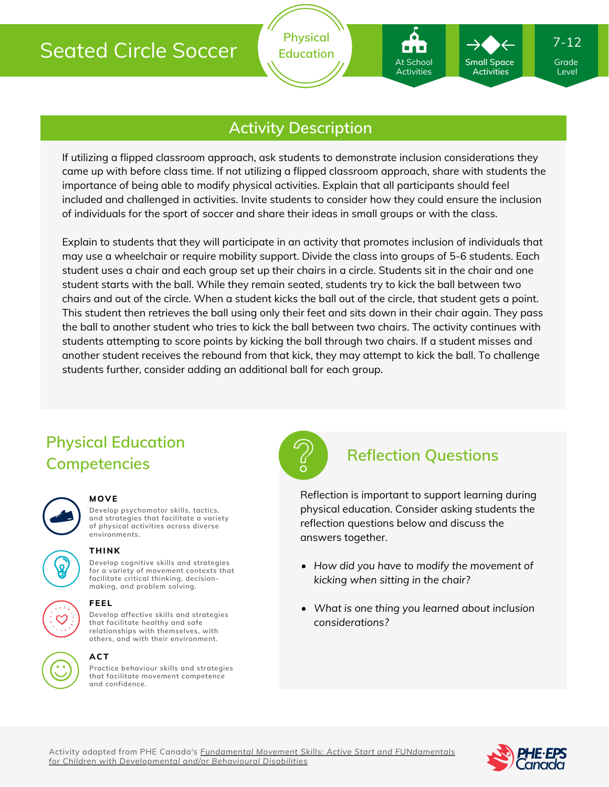# Seated Circle Soccer

### **Activity Description**

If utilizing a flipped classroom approach, ask students to demonstrate inclusion considerations they came up with before class time. If not utilizing a flipped classroom approach, share with students the importance of being able to modify physical activities. Explain that all participants should feel included and challenged in activities. Invite students to consider how they could ensure the inclusion of individuals for the sport of soccer and share their ideas in small groups or with the class.

Explain to students that they will participate in an activity that promotes inclusion of individuals that may use a wheelchair or require mobility support. Divide the class into groups of 5-6 students. Each student uses a chair and each group set up their chairs in a circle. Students sit in the chair and one student starts with the ball. While they remain seated, students try to kick the ball between two chairs and out of the circle. When a student kicks the ball out of the circle, that student gets a point. This student then retrieves the ball using only their feet and sits down in their chair again. They pass the ball to another student who tries to kick the ball between two chairs. The activity continues with students attempting to score points by kicking the ball through two chairs. If a student misses and another student receives the rebound from that kick, they may attempt to kick the ball. To challenge students further, consider adding an additional ball for each group.

### **Physical Education Competencies**



#### **MOVE**

**Develop psychomotor skills, tactics, and strategies that facilitate a variety of physical activities across diverse environments.**



## **THINK**

**Develop cognitive skills and strategies for a variety of movement contexts that facilitate critical thinking, decision making, and problem solving.**



# **FEEL**

**Develop affective skills and strategies that facilitate healthy and safe relationships with themselves, with others, and with their environment.**

#### **ACT**

**Practice behaviour skills and strategies that facilitate movement competence and confidence.**



### **Reflection Questions**

At School Activities

**Small Space Activities**

Reflection is important to support learning during physical education. Consider asking students the reflection questions below and discuss the answers together.

- *How did you have to modify the movement of kicking when sitting in the chair?*
- *What is one thing you learned about inclusion considerations?*

Activity adapted from PHE Canada's *Fundamental Movement Skills: Active Start and FUNdamentals for Children with [Developmental](https://phecanada.ca/programs/fundamental-movement-skills-series) and/or Behavioural Disabilities*



Grade Level

7-12